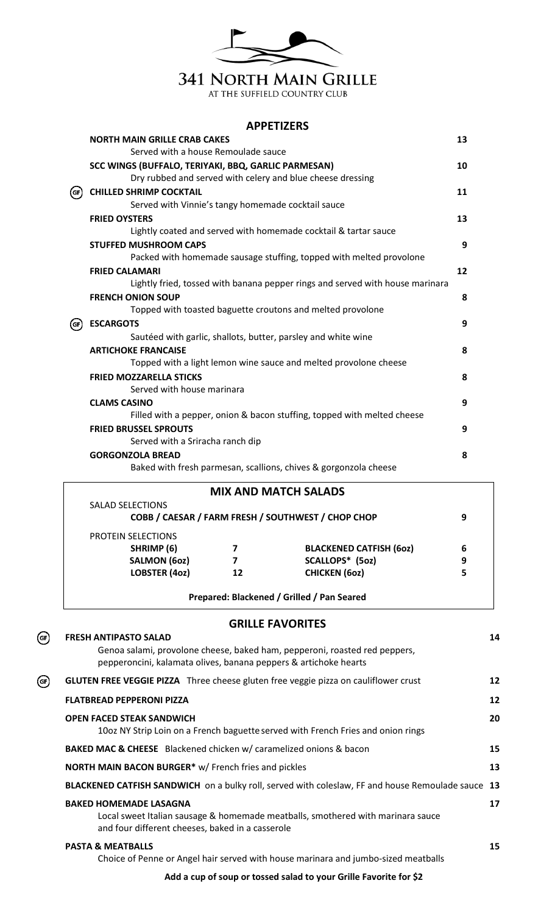

## **APPETIZERS**

|      | <b>NORTH MAIN GRILLE CRAB CAKES</b>                                           | 13 |
|------|-------------------------------------------------------------------------------|----|
|      | Served with a house Remoulade sauce                                           |    |
|      | SCC WINGS (BUFFALO, TERIYAKI, BBQ, GARLIC PARMESAN)                           | 10 |
|      | Dry rubbed and served with celery and blue cheese dressing                    |    |
| (сг) | <b>CHILLED SHRIMP COCKTAIL</b>                                                | 11 |
|      | Served with Vinnie's tangy homemade cocktail sauce                            |    |
|      | <b>FRIED OYSTERS</b>                                                          | 13 |
|      | Lightly coated and served with homemade cocktail & tartar sauce               |    |
|      | <b>STUFFED MUSHROOM CAPS</b>                                                  | 9  |
|      | Packed with homemade sausage stuffing, topped with melted provolone           |    |
|      | <b>FRIED CALAMARI</b>                                                         | 12 |
|      | Lightly fried, tossed with banana pepper rings and served with house marinara |    |
|      | <b>FRENCH ONION SOUP</b>                                                      | 8  |
|      | Topped with toasted baguette croutons and melted provolone                    |    |
| (GF) | <b>ESCARGOTS</b>                                                              | 9  |
|      | Sautéed with garlic, shallots, butter, parsley and white wine                 |    |
|      | <b>ARTICHOKE FRANCAISE</b>                                                    | 8  |
|      | Topped with a light lemon wine sauce and melted provolone cheese              |    |
|      | <b>FRIED MOZZARELLA STICKS</b>                                                | 8  |
|      | Served with house marinara                                                    |    |
|      | <b>CLAMS CASINO</b>                                                           | 9  |
|      | Filled with a pepper, onion & bacon stuffing, topped with melted cheese       |    |
|      | <b>FRIED BRUSSEL SPROUTS</b>                                                  | 9  |
|      | Served with a Sriracha ranch dip                                              |    |
|      | <b>GORGONZOLA BREAD</b>                                                       | 8  |
|      | Baked with fresh parmesan, scallions, chives & gorgonzola cheese              |    |
|      | <b>MIX AND MATCH SALADS</b>                                                   |    |
|      | <b>SALAD SELECTIONS</b>                                                       |    |
|      | COBB / CAESAR / FARM FRESH / SOUTHWEST / CHOP CHOP                            | 9  |

| SHRIMP (6)           |    | <b>BLACKENED CATFISH (602)</b> | 6 |
|----------------------|----|--------------------------------|---|
| <b>SALMON (60z)</b>  |    | SCALLOPS* (5oz)                | 9 |
| <b>LOBSTER (4oz)</b> | 12 | <b>CHICKEN (602)</b>           | 5 |

## **GRILLE FAVORITES**

 $\bigodot$ 

**FRESH ANTIPASTO SALAD 14**

|                       | Genoa salami, provolone cheese, baked ham, pepperoni, roasted red peppers,<br>pepperoncini, kalamata olives, banana peppers & artichoke hearts                       |    |  |  |  |
|-----------------------|----------------------------------------------------------------------------------------------------------------------------------------------------------------------|----|--|--|--|
| $\left($ GF $\right)$ | <b>GLUTEN FREE VEGGIE PIZZA</b> Three cheese gluten free veggie pizza on cauliflower crust                                                                           | 12 |  |  |  |
|                       | <b>FLATBREAD PEPPERONI PIZZA</b>                                                                                                                                     | 12 |  |  |  |
|                       | <b>OPEN FACED STEAK SANDWICH</b><br>10oz NY Strip Loin on a French baguette served with French Fries and onion rings                                                 | 20 |  |  |  |
|                       | <b>BAKED MAC &amp; CHEESE</b> Blackened chicken w/ caramelized onions & bacon                                                                                        |    |  |  |  |
|                       | NORTH MAIN BACON BURGER* w/ French fries and pickles                                                                                                                 |    |  |  |  |
|                       | BLACKENED CATFISH SANDWICH on a bulky roll, served with coleslaw, FF and house Remoulade sauce 13                                                                    |    |  |  |  |
|                       | <b>BAKED HOMEMADE LASAGNA</b><br>Local sweet Italian sausage & homemade meatballs, smothered with marinara sauce<br>and four different cheeses, baked in a casserole |    |  |  |  |
|                       | <b>PASTA &amp; MEATBALLS</b><br>Choice of Penne or Angel hair served with house marinara and jumbo-sized meatballs                                                   | 15 |  |  |  |